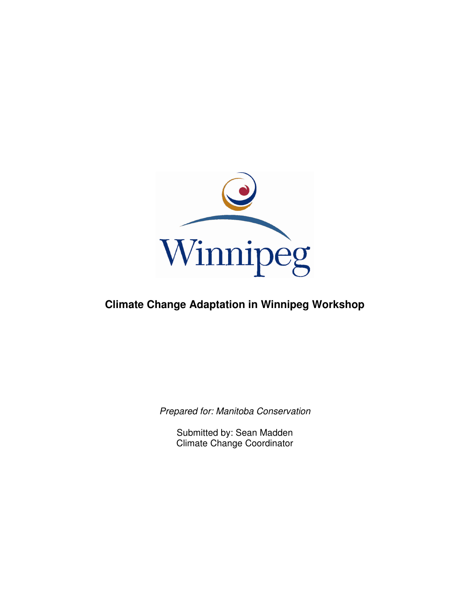

## **Climate Change Adaptation in Winnipeg Workshop**

Prepared for: Manitoba Conservation

Submitted by: Sean Madden Climate Change Coordinator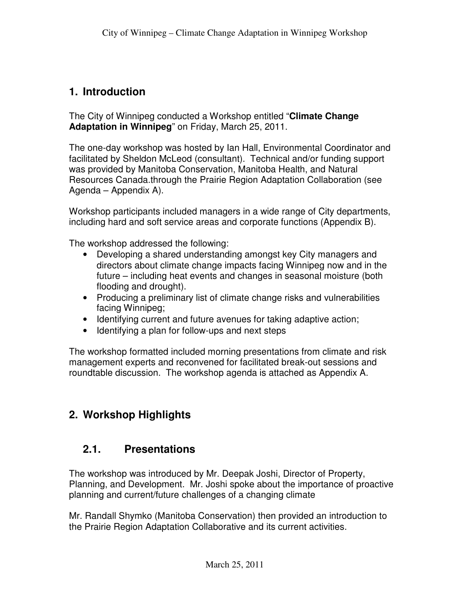#### **1. Introduction**

The City of Winnipeg conducted a Workshop entitled "**Climate Change Adaptation in Winnipeg**" on Friday, March 25, 2011.

The one-day workshop was hosted by Ian Hall, Environmental Coordinator and facilitated by Sheldon McLeod (consultant). Technical and/or funding support was provided by Manitoba Conservation, Manitoba Health, and Natural Resources Canada.through the Prairie Region Adaptation Collaboration (see Agenda – Appendix A).

Workshop participants included managers in a wide range of City departments, including hard and soft service areas and corporate functions (Appendix B).

The workshop addressed the following:

- Developing a shared understanding amongst key City managers and directors about climate change impacts facing Winnipeg now and in the future – including heat events and changes in seasonal moisture (both flooding and drought).
- Producing a preliminary list of climate change risks and vulnerabilities facing Winnipeg;
- Identifying current and future avenues for taking adaptive action;
- Identifying a plan for follow-ups and next steps

The workshop formatted included morning presentations from climate and risk management experts and reconvened for facilitated break-out sessions and roundtable discussion. The workshop agenda is attached as Appendix A.

### **2. Workshop Highlights**

#### **2.1. Presentations**

The workshop was introduced by Mr. Deepak Joshi, Director of Property, Planning, and Development. Mr. Joshi spoke about the importance of proactive planning and current/future challenges of a changing climate

Mr. Randall Shymko (Manitoba Conservation) then provided an introduction to the Prairie Region Adaptation Collaborative and its current activities.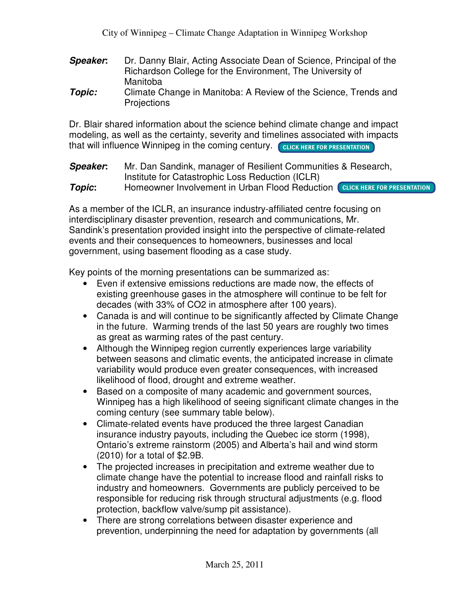- **Speaker:** Dr. Danny Blair, Acting Associate Dean of Science, Principal of the Richardson College for the Environment, The University of Manitoba
- **Topic:** Climate Change in Manitoba: A Review of the Science, Trends and **Projections**

Dr. Blair shared information about the science behind climate change and impact modeling, as well as the certainty, severity and timelines associated with impacts that will influence Winnipeg in the coming century. COLICK HERE FOR PRESENTATION

**Speaker:** Mr. Dan Sandink, manager of Resilient Communities & Research, Institute for Catastrophic Loss Reduction (ICLR)

**Topic:** Homeowner Involvement in Urban Flood Reduction **CLICK HERE FOR PRESENTATION** 

As a member of the ICLR, an insurance industry-affiliated centre focusing on interdisciplinary disaster prevention, research and communications, Mr. Sandink's presentation provided insight into the perspective of climate-related events and their consequences to homeowners, businesses and local government, using basement flooding as a case study.

Key points of the morning presentations can be summarized as:

- Even if extensive emissions reductions are made now, the effects of existing greenhouse gases in the atmosphere will continue to be felt for decades (with 33% of CO2 in atmosphere after 100 years).
- Canada is and will continue to be significantly affected by Climate Change in the future. Warming trends of the last 50 years are roughly two times as great as warming rates of the past century.
- Although the Winnipeg region currently experiences large variability between seasons and climatic events, the anticipated increase in climate variability would produce even greater consequences, with increased likelihood of flood, drought and extreme weather.
- Based on a composite of many academic and government sources, Winnipeg has a high likelihood of seeing significant climate changes in the coming century (see summary table below).
- Climate-related events have produced the three largest Canadian insurance industry payouts, including the Quebec ice storm (1998), Ontario's extreme rainstorm (2005) and Alberta's hail and wind storm (2010) for a total of \$2.9B.
- The projected increases in precipitation and extreme weather due to climate change have the potential to increase flood and rainfall risks to industry and homeowners. Governments are publicly perceived to be responsible for reducing risk through structural adjustments (e.g. flood protection, backflow valve/sump pit assistance).
- There are strong correlations between disaster experience and prevention, underpinning the need for adaptation by governments (all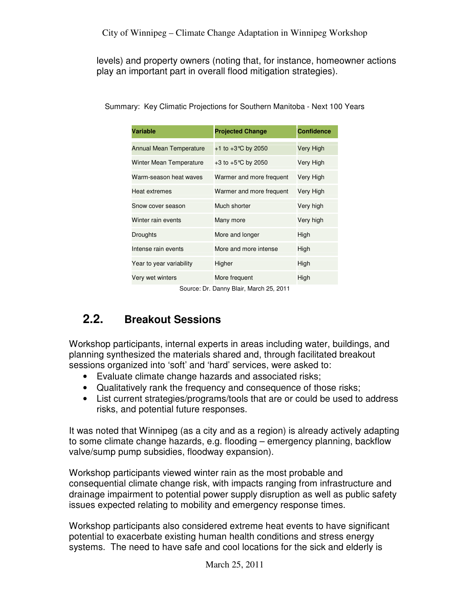levels) and property owners (noting that, for instance, homeowner actions play an important part in overall flood mitigation strategies).

| Variable                       | <b>Projected Change</b>  | <b>Confidence</b> |
|--------------------------------|--------------------------|-------------------|
| <b>Annual Mean Temperature</b> | +1 to +3 °C by 2050      | Very High         |
| Winter Mean Temperature        | +3 to +5℃ by 2050        | Very High         |
| Warm-season heat waves         | Warmer and more frequent | Very High         |
| Heat extremes                  | Warmer and more frequent | Very High         |
| Snow cover season              | Much shorter             | Very high         |
| Winter rain events             | Many more                | Very high         |
| Droughts                       | More and longer          | High              |
| Intense rain events            | More and more intense    | High              |
| Year to year variability       | Higher                   | High              |
| Very wet winters               | More frequent            | High              |

Summary: Key Climatic Projections for Southern Manitoba - Next 100 Years

Source: Dr. Danny Blair, March 25, 2011

## **2.2. Breakout Sessions**

Workshop participants, internal experts in areas including water, buildings, and planning synthesized the materials shared and, through facilitated breakout sessions organized into 'soft' and 'hard' services, were asked to:

- Evaluate climate change hazards and associated risks;
- Qualitatively rank the frequency and consequence of those risks;
- List current strategies/programs/tools that are or could be used to address risks, and potential future responses.

It was noted that Winnipeg (as a city and as a region) is already actively adapting to some climate change hazards, e.g. flooding – emergency planning, backflow valve/sump pump subsidies, floodway expansion).

Workshop participants viewed winter rain as the most probable and consequential climate change risk, with impacts ranging from infrastructure and drainage impairment to potential power supply disruption as well as public safety issues expected relating to mobility and emergency response times.

Workshop participants also considered extreme heat events to have significant potential to exacerbate existing human health conditions and stress energy systems. The need to have safe and cool locations for the sick and elderly is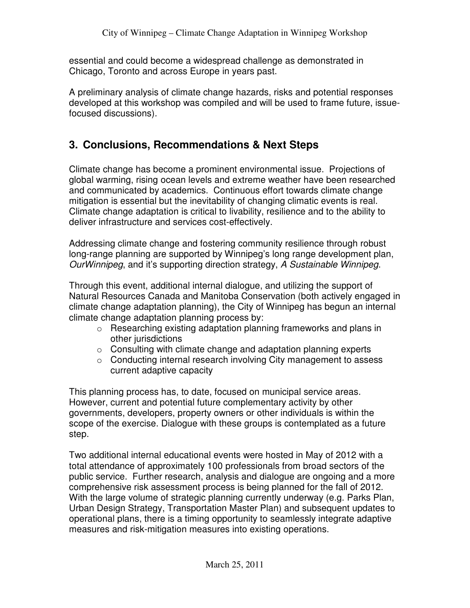essential and could become a widespread challenge as demonstrated in Chicago, Toronto and across Europe in years past.

A preliminary analysis of climate change hazards, risks and potential responses developed at this workshop was compiled and will be used to frame future, issuefocused discussions).

### **3. Conclusions, Recommendations & Next Steps**

Climate change has become a prominent environmental issue. Projections of global warming, rising ocean levels and extreme weather have been researched and communicated by academics. Continuous effort towards climate change mitigation is essential but the inevitability of changing climatic events is real. Climate change adaptation is critical to livability, resilience and to the ability to deliver infrastructure and services cost-effectively.

Addressing climate change and fostering community resilience through robust long-range planning are supported by Winnipeg's long range development plan, OurWinnipeg, and it's supporting direction strategy, A Sustainable Winnipeg.

Through this event, additional internal dialogue, and utilizing the support of Natural Resources Canada and Manitoba Conservation (both actively engaged in climate change adaptation planning), the City of Winnipeg has begun an internal climate change adaptation planning process by:

- o Researching existing adaptation planning frameworks and plans in other jurisdictions
- o Consulting with climate change and adaptation planning experts
- o Conducting internal research involving City management to assess current adaptive capacity

This planning process has, to date, focused on municipal service areas. However, current and potential future complementary activity by other governments, developers, property owners or other individuals is within the scope of the exercise. Dialogue with these groups is contemplated as a future step.

Two additional internal educational events were hosted in May of 2012 with a total attendance of approximately 100 professionals from broad sectors of the public service. Further research, analysis and dialogue are ongoing and a more comprehensive risk assessment process is being planned for the fall of 2012. With the large volume of strategic planning currently underway (e.g. Parks Plan, Urban Design Strategy, Transportation Master Plan) and subsequent updates to operational plans, there is a timing opportunity to seamlessly integrate adaptive measures and risk-mitigation measures into existing operations.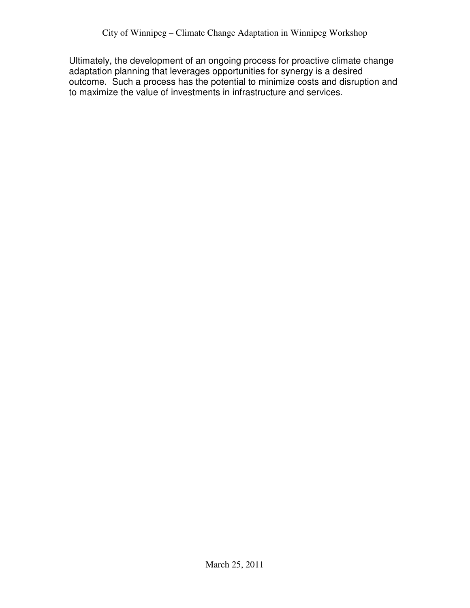Ultimately, the development of an ongoing process for proactive climate change adaptation planning that leverages opportunities for synergy is a desired outcome. Such a process has the potential to minimize costs and disruption and to maximize the value of investments in infrastructure and services.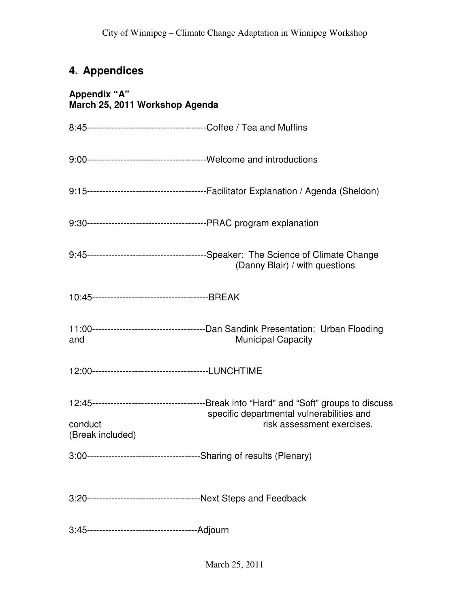# **4. Appendices**

| Appendix "A"<br>March 25, 2011 Workshop Agenda |                                                                         |  |
|------------------------------------------------|-------------------------------------------------------------------------|--|
|                                                |                                                                         |  |
|                                                |                                                                         |  |
|                                                |                                                                         |  |
|                                                |                                                                         |  |
|                                                | (Danny Blair) / with questions                                          |  |
|                                                |                                                                         |  |
| and                                            | <b>Municipal Capacity</b>                                               |  |
|                                                |                                                                         |  |
| conduct<br>(Break included)                    | specific departmental vulnerabilities and<br>risk assessment exercises. |  |
|                                                |                                                                         |  |
|                                                |                                                                         |  |
|                                                |                                                                         |  |